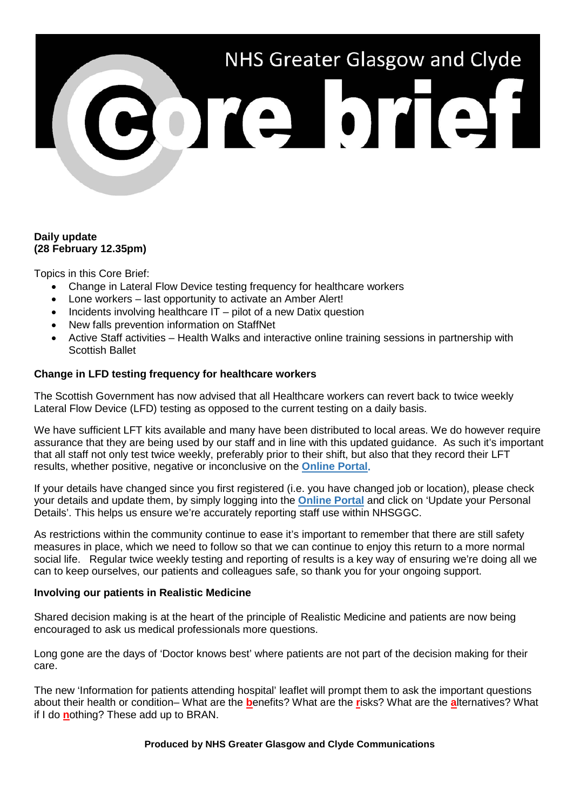# NHS Greater Glasgow and Clyde

# **Daily update (28 February 12.35pm)**

Topics in this Core Brief:

- Change in Lateral Flow Device testing frequency for healthcare workers
- Lone workers last opportunity to activate an Amber Alert!
- Incidents involving healthcare IT pilot of a new Datix question
- New falls prevention information on StaffNet
- Active Staff activities Health Walks and interactive online training sessions in partnership with Scottish Ballet

# **Change in LFD testing frequency for healthcare workers**

The Scottish Government has now advised that all Healthcare workers can revert back to twice weekly Lateral Flow Device (LFD) testing as opposed to the current testing on a daily basis.

We have sufficient LFT kits available and many have been distributed to local areas. We do however require assurance that they are being used by our staff and in line with this updated guidance. As such it's important that all staff not only test twice weekly, preferably prior to their shift, but also that they record their LFT results, whether positive, negative or inconclusive on the **[Online Portal.](https://nhsnss.service-now.com/covidtesting)**

If your details have changed since you first registered (i.e. you have changed job or location), please check your details and update them, by simply logging into the **[Online Portal](https://nhsnss.service-now.com/covidtesting)** and click on 'Update your Personal Details'. This helps us ensure we're accurately reporting staff use within NHSGGC.

As restrictions within the community continue to ease it's important to remember that there are still safety measures in place, which we need to follow so that we can continue to enjoy this return to a more normal social life. Regular twice weekly testing and reporting of results is a key way of ensuring we're doing all we can to keep ourselves, our patients and colleagues safe, so thank you for your ongoing support.

# **Involving our patients in Realistic Medicine**

Shared decision making is at the heart of the principle of Realistic Medicine and patients are now being encouraged to ask us medical professionals more questions.

Long gone are the days of 'Doctor knows best' where patients are not part of the decision making for their care.

The new 'Information for patients attending hospital' leaflet will prompt them to ask the important questions about their health or condition– What are the **b**enefits? What are the **r**isks? What are the **a**lternatives? What if I do **n**othing? These add up to BRAN.

#### **Produced by NHS Greater Glasgow and Clyde Communications**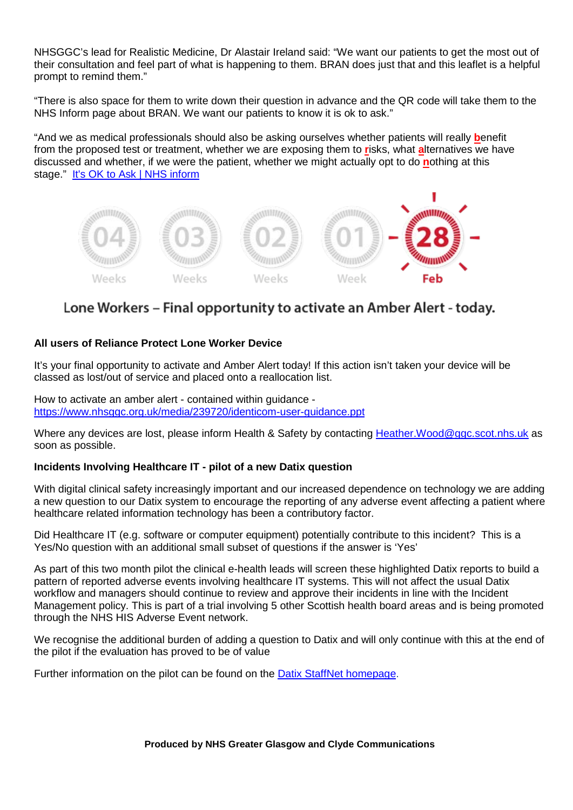NHSGGC's lead for Realistic Medicine, Dr Alastair Ireland said: "We want our patients to get the most out of their consultation and feel part of what is happening to them. BRAN does just that and this leaflet is a helpful prompt to remind them."

"There is also space for them to write down their question in advance and the QR code will take them to the NHS Inform page about BRAN. We want our patients to know it is ok to ask."

"And we as medical professionals should also be asking ourselves whether patients will really **b**enefit from the proposed test or treatment, whether we are exposing them to **r**isks, what **a**lternatives we have discussed and whether, if we were the patient, whether we might actually opt to do **n**othing at this stage." It's OK to Ask | NHS inform



# Lone Workers – Final opportunity to activate an Amber Alert - today.

# **All users of Reliance Protect Lone Worker Device**

It's your final opportunity to activate and Amber Alert today! If this action isn't taken your device will be classed as lost/out of service and placed onto a reallocation list.

How to activate an amber alert - contained within guidance <https://www.nhsggc.org.uk/media/239720/identicom-user-guidance.ppt>

Where any devices are lost, please inform Health & Safety by contacting Heather. Wood@ggc.scot.nhs.uk as soon as possible.

#### **Incidents Involving Healthcare IT - pilot of a new Datix question**

With digital clinical safety increasingly important and our increased dependence on technology we are adding a new question to our Datix system to encourage the reporting of any adverse event affecting a patient where healthcare related information technology has been a contributory factor.

Did Healthcare IT (e.g. software or computer equipment) potentially contribute to this incident? This is a Yes/No question with an additional small subset of questions if the answer is 'Yes'

As part of this two month pilot the clinical e-health leads will screen these highlighted Datix reports to build a pattern of reported adverse events involving healthcare IT systems. This will not affect the usual Datix workflow and managers should continue to review and approve their incidents in line with the Incident Management policy. This is part of a trial involving 5 other Scottish health board areas and is being promoted through the NHS HIS Adverse Event network.

We recognise the additional burden of adding a question to Datix and will only continue with this at the end of the pilot if the evaluation has proved to be of value

Further information on the pilot can be found on the [Datix StaffNet homepage.](http://www.staffnet.ggc.scot.nhs.uk/Applications/Datix/Pages/default.aspx)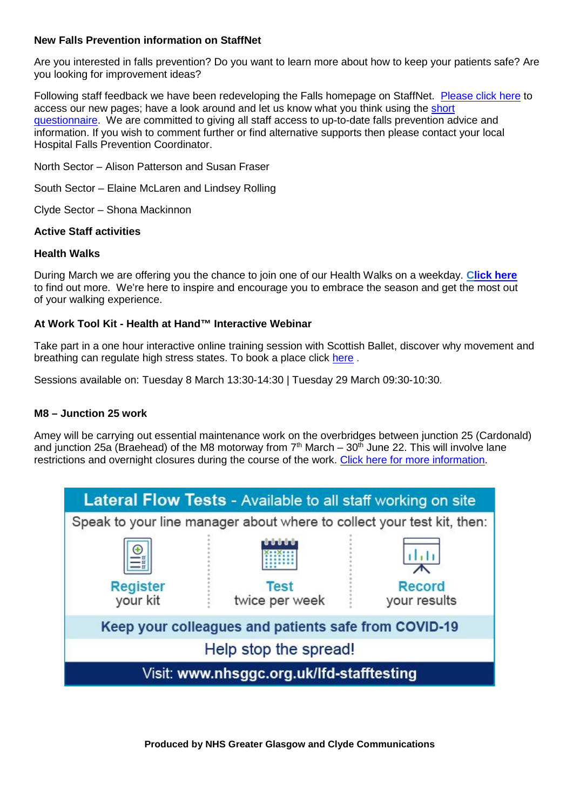# **New Falls Prevention information on StaffNet**

Are you interested in falls prevention? Do you want to learn more about how to keep your patients safe? Are you looking for improvement ideas?

Following staff feedback we have been redeveloping the Falls homepage on StaffNet. [Please click here](http://www.staffnet.ggc.scot.nhs.uk/Acute/Rehab%20Assessment/Falls%20Services/Pages/defaultbbc4c21b05d14695845d724d458d4a58.aspx) to access our new pages; have a look around and let us know what you think using the [short](https://link.webropolsurveys.com/Participation/Public/96a20ad4-405f-4ffe-acbc-c9e2aede47c7?displayId=Uni2438876)  [questionnaire.](https://link.webropolsurveys.com/Participation/Public/96a20ad4-405f-4ffe-acbc-c9e2aede47c7?displayId=Uni2438876) We are committed to giving all staff access to up-to-date falls prevention advice and information. If you wish to comment further or find alternative supports then please contact your local Hospital Falls Prevention Coordinator.

North Sector – Alison Patterson and Susan Fraser

South Sector – Elaine McLaren and Lindsey Rolling

Clyde Sector – Shona Mackinnon

#### **Active Staff activities**

#### **Health Walks**

During March we are offering you the chance to join one of our Health Walks on a weekday. **[Click here](https://www.nhsggc.org.uk/working-with-us/staff-communications/staff-health-wellbeing/active-staff/guided-health-walks/)** to find out more. We're here to inspire and encourage you to embrace the season and get the most out of your walking experience.

#### **At Work Tool Kit - Health at Hand™ Interactive Webinar**

Take part in a one hour interactive online training session with Scottish Ballet, discover why movement and breathing can regulate high stress states. To book a place click [here](https://link.webropol.com/s/ScottishBalletOnlineStaffSessions) .

Sessions available on: Tuesday 8 March 13:30-14:30 | Tuesday 29 March 09:30-10:30.

#### **M8 – Junction 25 work**

Amey will be carrying out essential maintenance work on the overbridges between junction 25 (Cardonald) and junction 25a (Braehead) of the M8 motorway from  $7<sup>th</sup>$  March – 30<sup>th</sup> June 22. This will involve lane restrictions and overnight closures during the course of the work. [Click here for more information.](https://swtrunkroads.scot/scottish-south-west-trunk-roads/m8/m8-junction-25-25a/)



**Produced by NHS Greater Glasgow and Clyde Communications**